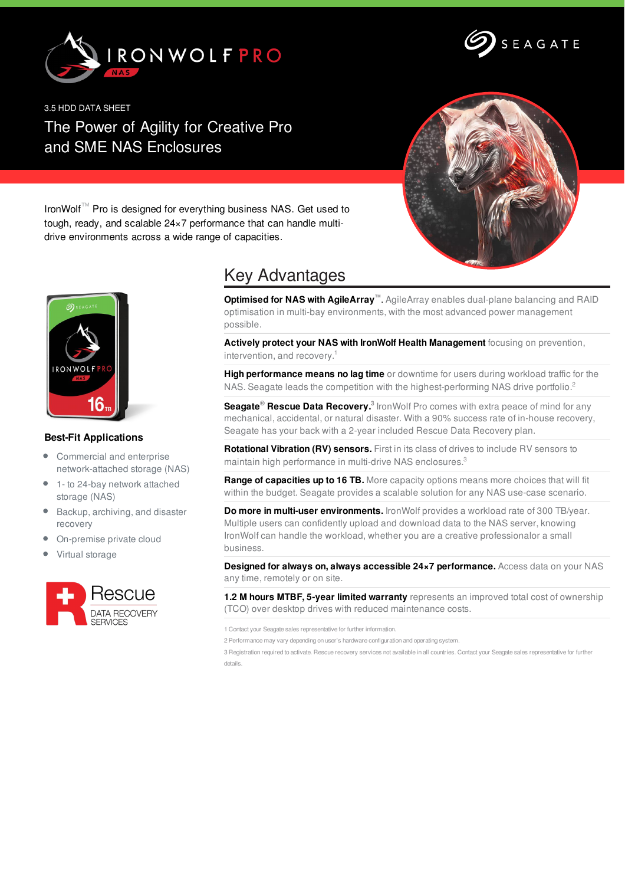



3.5 HDD DATA SHEET The Power of Agility for Creative Pro and SME NAS Enclosures



IronWolf™ Pro is designed for everything business NAS. Get used to tough, ready, and scalable 24×7 performance that can handle multidrive environments across a wide range of capacities.



## **Best-Fit Applications**

- Commercial and enterprise network-attached storage (NAS)
- 1- to 24-bay network attached storage (NAS)
- Backup, archiving, and disaster recovery
- On-premise private cloud
- Virtual storage



## Key Advantages

**Optimised for NAS with AgileArray™**. AgileArray enables dual-plane balancing and RAID optimisation in multi-bay environments, with the most advanced power management possible.

**Actively protect your NAS with IronWolf Health Management** focusing on prevention, intervention, and recovery. 1

**High performance means no lag time** or downtime for users during workload traffic for the NAS. Seagate leads the competition with the highest-performing NAS drive portfolio.<sup>2</sup>

**Seagate<sup>®</sup> Rescue Data Recovery.**<sup>3</sup> IronWolf Pro comes with extra peace of mind for any mechanical, accidental, or natural disaster. With a 90% success rate of in-house recovery, Seagate has your back with a 2-year included Rescue Data Recovery plan.

**Rotational Vibration (RV) sensors.** First in its class of drives to include RV sensors to maintain high performance in multi-drive NAS enclosures.<sup>3</sup>

**Range of capacities up to 16 TB.** More capacity options means more choices that will fit within the budget. Seagate provides a scalable solution for any NAS use-case scenario.

**Do more in multi-user environments.** IronWolf provides a workload rate of 300 TB/year. Multiple users can confidently upload and download data to the NAS server, knowing IronWolf can handle the workload, whether you are a creative professionalor a small business.

**Designed for always on, always accessible 24×7 performance.** Access data on your NAS any time, remotely or on site.

**1.2 M hours MTBF, 5-year limited warranty** represents an improved total cost of ownership (TCO) over desktop drives with reduced maintenance costs.

1 Contact your Seagate sales representative for further information.

2 Performance may vary depending on user's hardware configuration and operating system.

3 Registration required to activate. Rescue recovery services not available in all countries. Contact your Seagate sales representative for further details.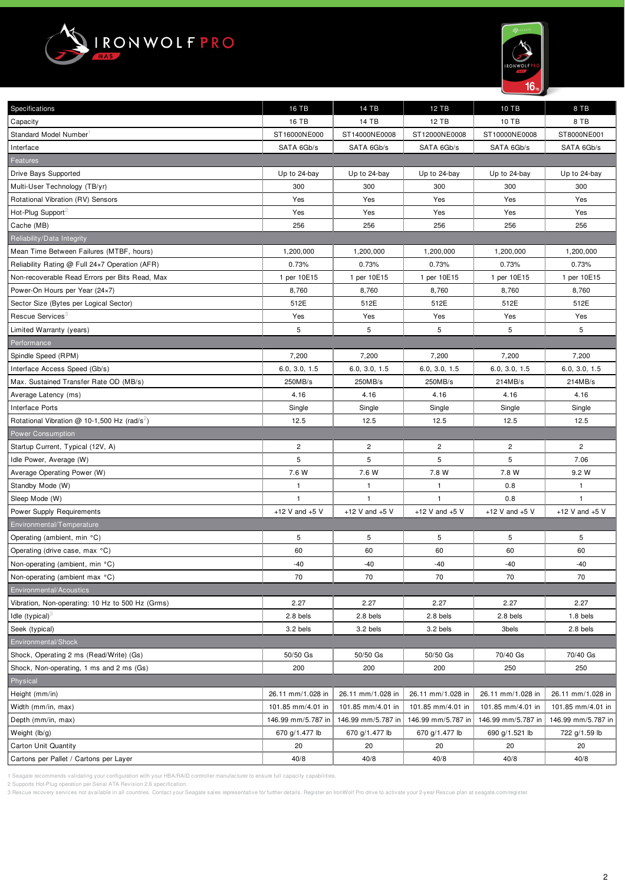



| Specifications                                           | <b>16 TB</b>       | 14 TB              | <b>12 TB</b>       | 10 TB              | 8 TB               |
|----------------------------------------------------------|--------------------|--------------------|--------------------|--------------------|--------------------|
| Capacity                                                 | 16 TB              | 14 TB              | 12 TB              | 10 TB              | 8 TB               |
| <b>Standard Model Number</b>                             | ST16000NE000       | ST14000NE0008      | ST12000NE0008      | ST10000NE0008      | ST8000NE001        |
| Interface                                                | SATA 6Gb/s         | SATA 6Gb/s         | SATA 6Gb/s         | SATA 6Gb/s         | SATA 6Gb/s         |
| Features                                                 |                    |                    |                    |                    |                    |
| Drive Bays Supported                                     | Up to 24-bay       | Up to 24-bay       | Up to 24-bay       | Up to 24-bay       | Up to 24-bay       |
| Multi-User Technology (TB/yr)                            | 300                | 300                | 300                | 300                | 300                |
| Rotational Vibration (RV) Sensors                        | Yes                | Yes                | Yes                | Yes                | Yes                |
| Hot-Plug Support                                         | Yes                | Yes                | Yes                | Yes                | Yes                |
| Cache (MB)                                               | 256                | 256                | 256                | 256                | 256                |
| Reliability/Data Integrity                               |                    |                    |                    |                    |                    |
| Mean Time Between Failures (MTBF, hours)                 | 1,200,000          | 1,200,000          | 1,200,000          | 1,200,000          | 1,200,000          |
| Reliability Rating @ Full 24x7 Operation (AFR)           | 0.73%              | 0.73%              | 0.73%              | 0.73%              | 0.73%              |
| Non-recoverable Read Errors per Bits Read, Max           | 1 per 10E15        | 1 per 10E15        | 1 per 10E15        | 1 per 10E15        | 1 per 10E15        |
| Power-On Hours per Year (24x7)                           | 8,760              | 8,760              | 8,760              | 8,760              | 8,760              |
| Sector Size (Bytes per Logical Sector)                   | 512E               | 512E               | 512E               | 512E               | 512E               |
| Rescue Services <sup>3</sup>                             | Yes                | Yes                | Yes                | Yes                | Yes                |
| Limited Warranty (years)                                 | 5                  | 5                  | 5                  | 5                  | 5                  |
| Performance                                              |                    |                    |                    |                    |                    |
| Spindle Speed (RPM)                                      | 7,200              | 7,200              | 7,200              | 7,200              | 7,200              |
| Interface Access Speed (Gb/s)                            | 6.0, 3.0, 1.5      | 6.0, 3.0, 1.5      | 6.0, 3.0, 1.5      | 6.0, 3.0, 1.5      | 6.0, 3.0, 1.5      |
| Max. Sustained Transfer Rate OD (MB/s)                   | 250MB/s            | 250MB/s            | 250MB/s            | 214MB/s            | 214MB/s            |
| Average Latency (ms)                                     | 4.16               | 4.16               | 4.16               | 4.16               | 4.16               |
| Interface Ports                                          | Single             | Single             | Single             | Single             | Single             |
| Rotational Vibration @ 10-1,500 Hz (rad/s <sup>2</sup> ) | 12.5               | 12.5               | 12.5               | 12.5               | 12.5               |
| <b>Power Consumption</b>                                 |                    |                    |                    |                    |                    |
| Startup Current, Typical (12V, A)                        | 2                  | $\overline{c}$     | $\overline{c}$     | $\overline{c}$     | $\overline{c}$     |
| Idle Power, Average (W)                                  | 5                  | 5                  | 5                  | 5                  | 7.06               |
| Average Operating Power (W)                              | 7.6 W              | 7.6 W              | 7.8 W              | 7.8 W              | 9.2 W              |
| Standby Mode (W)                                         | $\mathbf{1}$       | $\mathbf{1}$       | $\mathbf{1}$       | 0.8                | $\mathbf{1}$       |
| Sleep Mode (W)                                           | $\mathbf{1}$       | 1                  | $\mathbf{1}$       | 0.8                | $\mathbf{1}$       |
| Power Supply Requirements                                | +12 V and $+5$ V   | +12 V and $+5$ V   | +12 V and $+5$ V   | +12 V and $+5$ V   | +12 V and $+5$ V   |
| Environmental/Temperature                                |                    |                    |                    |                    |                    |
| Operating (ambient, min °C)                              | 5                  | 5                  | 5                  | 5                  | $\,$ 5 $\,$        |
| Operating (drive case, max °C)                           | 60                 | 60                 | 60                 | 60                 | 60                 |
| Non-operating (ambient, min °C)                          | $-40$              | $-40$              | $-40$              | $-40$              | -40                |
| Non-operating (ambient max °C)                           | 70                 | 70                 | 70                 | 70                 | 70                 |
| Environmental/Acoustics                                  |                    |                    |                    |                    |                    |
| Vibration, Non-operating: 10 Hz to 500 Hz (Grms)         | 2.27               | 2.27               | 2.27               | 2.27               | 2.27               |
| Idle $(typical)^3$                                       | 2.8 bels           | 2.8 bels           | 2.8 bels           | 2.8 bels           | 1.8 bels           |
| Seek (typical)                                           | 3.2 bels           | 3.2 bels           | 3.2 bels           | 3bels              | 2.8 bels           |
| Environmental/Shock                                      |                    |                    |                    |                    |                    |
| Shock, Operating 2 ms (Read/Write) (Gs)                  | 50/50 Gs           | 50/50 Gs           | 50/50 Gs           | 70/40 Gs           | 70/40 Gs           |
| Shock, Non-operating, 1 ms and 2 ms (Gs)                 | 200                | 200                | 200                | 250                | 250                |
| Physical                                                 |                    |                    |                    |                    |                    |
| Height (mm/in)                                           | 26.11 mm/1.028 in  | 26.11 mm/1.028 in  | 26.11 mm/1.028 in  | 26.11 mm/1.028 in  | 26.11 mm/1.028 in  |
| Width (mm/in, max)                                       | 101.85 mm/4.01 in  | 101.85 mm/4.01 in  | 101.85 mm/4.01 in  | 101.85 mm/4.01 in  | 101.85 mm/4.01 in  |
| Depth (mm/in, max)                                       | 146.99 mm/5.787 in | 146.99 mm/5.787 in | 146.99 mm/5.787 in | 146.99 mm/5.787 in | 146.99 mm/5.787 in |
| Weight (lb/g)                                            | 670 g/1.477 lb     | 670 g/1.477 lb     | 670 g/1.477 lb     | 690 g/1.521 lb     | 722 g/1.59 lb      |
| <b>Carton Unit Quantity</b>                              | 20                 | 20                 | 20                 | 20                 | 20                 |
| Cartons per Pallet / Cartons per Layer                   | 40/8               | 40/8               | 40/8               | 40/8               | 40/8               |

1 Seagate recommends validating your configuration with your HBA/RAID controller manufacturer to ensure full capacity capabilities.

2 Supports Hot-Plug operation per Serial ATA Revision 2.6 specification.

3 Rescue recovery services not available in all countries. Contact your Seagate sales representative for further details. Register an IronWolf Pro drive to activate your 2-year Rescue plan at seagate.com/register.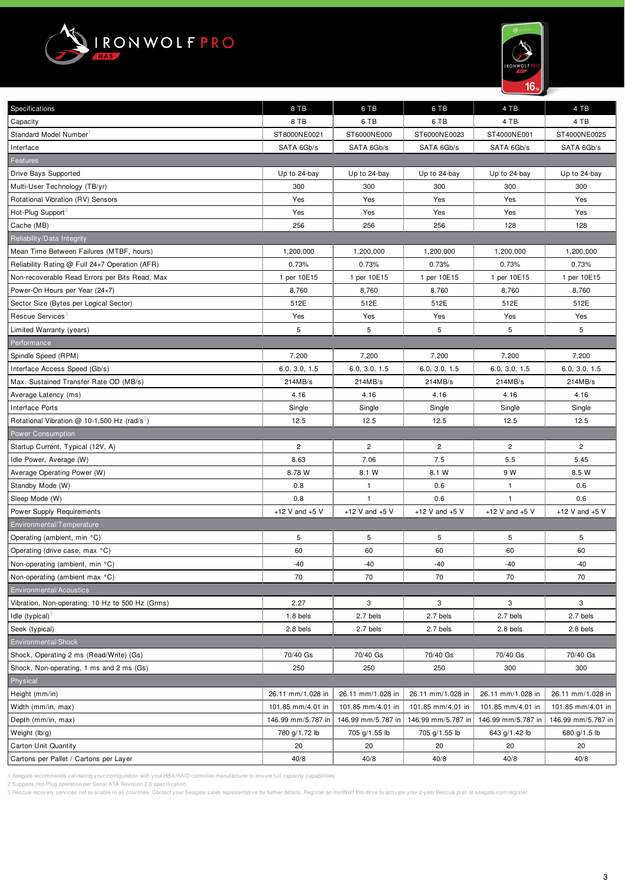



| Specifications                                           | 8 TB               | 6 TB               | 6 TB               | 4 TB               | 4 TB               |
|----------------------------------------------------------|--------------------|--------------------|--------------------|--------------------|--------------------|
| Capacity                                                 | 8 TB               | 6 TB               | 6 TB               | 4 TB               | 4 TB               |
| Standard Model Number                                    | ST8000NE0021       | ST6000NE000        | ST6000NE0023       | ST4000NE001        | ST4000NE0025       |
| Interface                                                | SATA 6Gb/s         | SATA 6Gb/s         | SATA 6Gb/s         | SATA 6Gb/s         | SATA 6Gb/s         |
| Features                                                 |                    |                    |                    |                    |                    |
| Drive Bays Supported                                     | Up to 24-bay       | Up to 24-bay       | Up to 24-bay       | Up to 24-bay       | Up to 24-bay       |
| Multi-User Technology (TB/yr)                            | 300                | 300                | 300                | 300                | 300                |
| Rotational Vibration (RV) Sensors                        | Yes                | Yes                | Yes                | Yes                | Yes                |
| Hot-Plug Support                                         | Yes                | Yes                | Yes                | Yes                | Yes                |
| Cache (MB)                                               | 256                | 256                | 256                | 128                | 128                |
| Reliability/Data Integrity                               |                    |                    |                    |                    |                    |
| Mean Time Between Failures (MTBF, hours)                 | 1,200,000          | 1,200,000          | 1,200,000          | 1,200,000          | 1,200,000          |
| Reliability Rating @ Full 24x7 Operation (AFR)           | 0.73%              | 0.73%              | 0.73%              | 0.73%              | 0.73%              |
| Non-recoverable Read Errors per Bits Read, Max           | 1 per 10E15        | 1 per 10E15        | 1 per 10E15        | 1 per 10E15        | 1 per 10E15        |
| Power-On Hours per Year (24×7)                           | 8,760              | 8,760              | 8,760              | 8,760              | 8,760              |
| Sector Size (Bytes per Logical Sector)                   | 512E               | 512E               | 512E               | 512E               | 512E               |
| Rescue Services <sup>3</sup>                             | Yes                | Yes                | Yes                | Yes                | Yes                |
| Limited Warranty (years)                                 | 5                  | 5                  | 5                  | 5                  | 5                  |
| Performance                                              |                    |                    |                    |                    |                    |
| Spindle Speed (RPM)                                      | 7,200              | 7,200              | 7,200              | 7,200              | 7,200              |
| Interface Access Speed (Gb/s)                            | 6.0, 3.0, 1.5      | 6.0, 3.0, 1.5      | 6.0, 3.0, 1.5      | 6.0, 3.0, 1.5      | 6.0, 3.0, 1.5      |
| Max. Sustained Transfer Rate OD (MB/s)                   | 214MB/s            | 214MB/s            | 214MB/s            | 214MB/s            | 214MB/s            |
| Average Latency (ms)                                     | 4.16               | 4.16               | 4.16               | 4.16               | 4.16               |
| Interface Ports                                          | Single             | Single             | Single             | Single             | Single             |
| Rotational Vibration @ 10-1,500 Hz (rad/s <sup>2</sup> ) | 12.5               | 12.5               | 12.5               | 12.5               | 12.5               |
| Power Consumption                                        |                    |                    |                    |                    |                    |
| Startup Current, Typical (12V, A)                        | $\overline{c}$     | $\overline{c}$     | $\overline{c}$     | $\overline{c}$     | $\overline{c}$     |
| Idle Power, Average (W)                                  | 8.63               | 7.06               | 7.5                | 5.5                | 5.45               |
| Average Operating Power (W)                              | 8.78 W             | 8.1 W              | 8.1 W              | 9 W                | 8.5 W              |
| Standby Mode (W)                                         | 0.8                | $\mathbf{1}$       | 0.6                | $\overline{1}$     | 0.6                |
| Sleep Mode (W)                                           | 0.8                | $\mathbf{1}$       | 0.6                | $\mathbf{1}$       | 0.6                |
| Power Supply Requirements                                | +12 V and $+5$ V   | +12 V and $+5$ V   | +12 V and $+5$ V   | +12 V and $+5$ V   | +12 V and $+5$ V   |
| Environmental/Temperature                                |                    |                    |                    |                    |                    |
| Operating (ambient, min °C)                              | 5                  | 5                  | 5                  | 5                  | 5                  |
| Operating (drive case, max °C)                           | 60                 | 60                 | 60                 | 60                 | 60                 |
| Non-operating (ambient, min °C)                          | $-40$              | -40                | $-40$              | -40                | -40                |
| Non-operating (ambient max °C)                           | 70                 | 70                 | 70                 | 70                 | 70                 |
| <b>Environmental/Acoustics</b>                           |                    |                    |                    |                    |                    |
| Vibration, Non-operating: 10 Hz to 500 Hz (Grms)         | 2.27               | 3                  | 3                  | 3                  | 3                  |
| Idle (typical) $\delta$                                  | 1.8 bels           | 2.7 bels           | 2.7 bels           | 2.7 bels           | 2.7 bels           |
| Seek (typical)                                           | 2.8 bels           | 2.7 bels           | 2.7 bels           | 2.8 bels           | 2.8 bels           |
| Environmental/Shock                                      |                    |                    |                    |                    |                    |
| Shock, Operating 2 ms (Read/Write) (Gs)                  | 70/40 Gs           | 70/40 Gs           | 70/40 Gs           | 70/40 Gs           | 70/40 Gs           |
| Shock, Non-operating, 1 ms and 2 ms (Gs)                 | 250                | 250                | 250                | 300                | 300                |
| Physical                                                 |                    |                    |                    |                    |                    |
| Height (mm/in)                                           | 26.11 mm/1.028 in  | 26.11 mm/1.028 in  | 26.11 mm/1.028 in  | 26.11 mm/1.028 in  | 26.11 mm/1.028 in  |
| Width (mm/in, max)                                       | 101.85 mm/4.01 in  | 101.85 mm/4.01 in  | 101.85 mm/4.01 in  | 101.85 mm/4.01 in  | 101.85 mm/4.01 in  |
| Depth (mm/in, max)                                       | 146.99 mm/5.787 in | 146.99 mm/5.787 in | 146.99 mm/5.787 in | 146.99 mm/5.787 in | 146.99 mm/5.787 in |
| Weight (lb/g)                                            | 780 g/1.72 lb      | 705 g/1.55 lb      | 705 g/1.55 lb      | 643 g/1.42 lb      | 680 g/1.5 lb       |
| <b>Carton Unit Quantity</b>                              | 20                 | 20                 | 20                 | 20                 | 20                 |
| Cartons per Pallet / Cartons per Layer                   | 40/8               | 40/8               | 40/8               | 40/8               | 40/8               |

1 Seagate recommends validating your configuration with your HBA/RAID controller manufacturer to ensure full capacity capabilities.

2 Supports Hot-Plug operation per Serial ATA Revision 2.6 specification.

3 Rescue recovery services not available in all countries. Contact your Seagate sales representative for further details. Register an IronWolf Pro drive to activate your 2-year Rescue plan at seagate.com/register.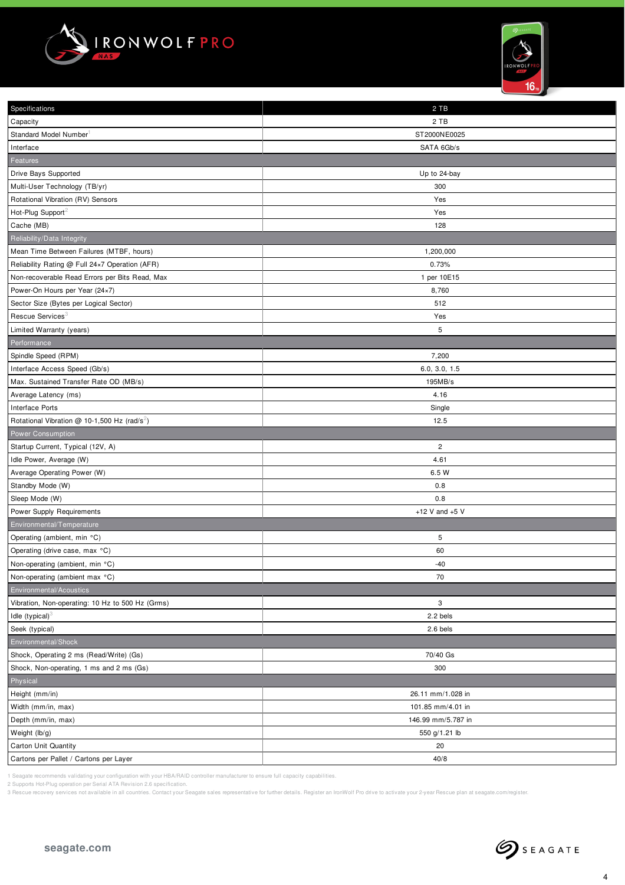



| Specifications                                             | 2 TB                      |
|------------------------------------------------------------|---------------------------|
| Capacity                                                   | 2 TB                      |
| Standard Model Number                                      | ST2000NE0025              |
| Interface                                                  | SATA 6Gb/s                |
| Features                                                   |                           |
| Drive Bays Supported                                       | Up to 24-bay              |
| Multi-User Technology (TB/yr)                              | 300                       |
| Rotational Vibration (RV) Sensors                          | Yes                       |
| Hot-Plug Support                                           | Yes                       |
| Cache (MB)                                                 | 128                       |
| Reliability/Data Integrity                                 |                           |
| Mean Time Between Failures (MTBF, hours)                   | 1,200,000                 |
| Reliability Rating @ Full 24x7 Operation (AFR)             | 0.73%                     |
| Non-recoverable Read Errors per Bits Read, Max             | 1 per 10E15               |
| Power-On Hours per Year (24×7)                             | 8,760                     |
| Sector Size (Bytes per Logical Sector)                     | 512                       |
| Rescue Services <sup>3</sup>                               | Yes                       |
| Limited Warranty (years)                                   | 5                         |
| Performance                                                |                           |
| Spindle Speed (RPM)                                        | 7,200                     |
| Interface Access Speed (Gb/s)                              | 6.0, 3.0, 1.5             |
| Max. Sustained Transfer Rate OD (MB/s)                     | 195MB/s                   |
| Average Latency (ms)                                       | 4.16                      |
| Interface Ports                                            | Single                    |
| Rotational Vibration $@$ 10-1,500 Hz (rad/s <sup>2</sup> ) | 12.5                      |
| <b>Power Consumption</b>                                   |                           |
| Startup Current, Typical (12V, A)                          | $\sqrt{2}$                |
| Idle Power, Average (W)                                    | 4.61                      |
| Average Operating Power (W)                                | 6.5 W                     |
| Standby Mode (W)                                           | 0.8                       |
| Sleep Mode (W)                                             | 0.8                       |
| Power Supply Requirements                                  | +12 V and $+5$ V          |
| Environmental/Temperature                                  |                           |
| Operating (ambient, min °C)                                | 5                         |
| Operating (drive case, max °C)                             | 60                        |
| Non-operating (ambient, min °C)                            | $-40$                     |
| Non-operating (ambient max °C)                             | 70                        |
| Environmental/Acoustics                                    |                           |
| Vibration, Non-operating: 10 Hz to 500 Hz (Grms)           | $\ensuremath{\mathsf{3}}$ |
| Idle $(typical)$ <sup>3</sup>                              | 2.2 bels                  |
| Seek (typical)                                             | 2.6 bels                  |
| Environmental/Shock                                        |                           |
| Shock, Operating 2 ms (Read/Write) (Gs)                    | 70/40 Gs                  |
| Shock, Non-operating, 1 ms and 2 ms (Gs)                   | 300                       |
| Physical                                                   |                           |
| Height (mm/in)                                             | 26.11 mm/1.028 in         |
| Width (mm/in, max)                                         | 101.85 mm/4.01 in         |
| Depth (mm/in, max)                                         | 146.99 mm/5.787 in        |
| Weight (lb/g)                                              | 550 g/1.21 lb             |
| Carton Unit Quantity                                       | 20                        |
| Cartons per Pallet / Cartons per Layer                     | 40/8                      |
|                                                            |                           |

1 Seagate recommends validating your configuration with your HBA/RAID controller manufacturer to ensure full capacity capabilities.

2 Supports Hot-Plug operation per Serial ATA Revision 2.6 specification.

3 Rescue recovery services not available in all countries. Contact your Seagate sales representative for further details. Register an IronWolf Pro drive to activate your 2-year Rescue plan at seagate.com/register.